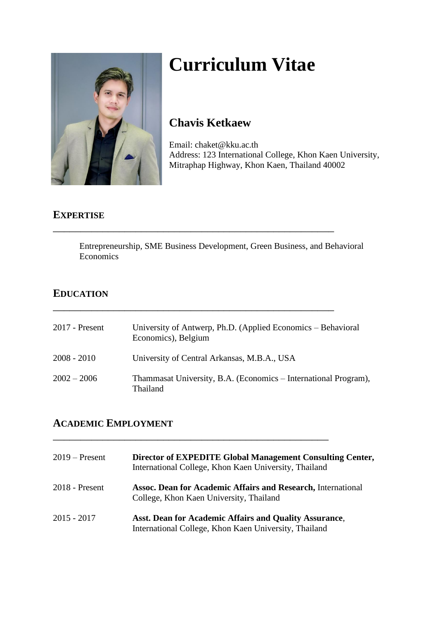

# **Curriculum Vitae**

# **Chavis Ketkaew**

Email: chaket@kku.ac.th Address: 123 International College, Khon Kaen University, Mitraphap Highway, Khon Kaen, Thailand 40002

# **EXPERTISE**

Entrepreneurship, SME Business Development, Green Business, and Behavioral Economics

\_\_\_\_\_\_\_\_\_\_\_\_\_\_\_\_\_\_\_\_\_\_\_\_\_\_\_\_\_\_\_\_\_\_\_\_\_\_\_\_\_\_\_\_\_\_\_\_\_\_\_

\_\_\_\_\_\_\_\_\_\_\_\_\_\_\_\_\_\_\_\_\_\_\_\_\_\_\_\_\_\_\_\_\_\_\_\_\_\_\_\_\_\_\_\_\_\_\_\_\_\_\_

\_\_\_\_\_\_\_\_\_\_\_\_\_\_\_\_\_\_\_\_\_\_\_\_\_\_\_\_\_\_\_\_\_\_\_\_\_\_\_\_\_\_\_\_\_\_\_\_\_\_

# **EDUCATION**

| $2017$ - Present | University of Antwerp, Ph.D. (Applied Economics – Behavioral<br>Economics), Belgium |
|------------------|-------------------------------------------------------------------------------------|
| $2008 - 2010$    | University of Central Arkansas, M.B.A., USA                                         |
| $2002 - 2006$    | Thammasat University, B.A. (Economics - International Program),<br><b>Thailand</b>  |

# **ACADEMIC EMPLOYMENT**

| $2019$ – Present | Director of EXPEDITE Global Management Consulting Center,<br>International College, Khon Kaen University, Thailand |
|------------------|--------------------------------------------------------------------------------------------------------------------|
| $2018$ - Present | <b>Assoc. Dean for Academic Affairs and Research, International</b><br>College, Khon Kaen University, Thailand     |
| $2015 - 2017$    | Asst. Dean for Academic Affairs and Quality Assurance,<br>International College, Khon Kaen University, Thailand    |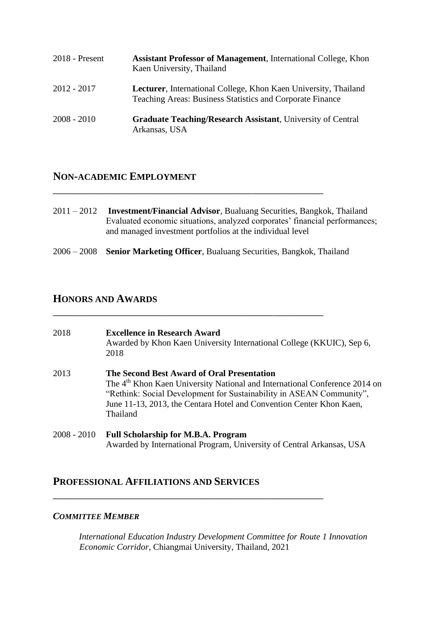| $2018$ - Present | <b>Assistant Professor of Management, International College, Khon</b><br>Kaen University, Thailand                                   |
|------------------|--------------------------------------------------------------------------------------------------------------------------------------|
| 2012 - 2017      | <b>Lecturer</b> , International College, Khon Kaen University, Thailand<br>Teaching Areas: Business Statistics and Corporate Finance |
| $2008 - 2010$    | <b>Graduate Teaching/Research Assistant, University of Central</b><br>Arkansas, USA                                                  |

## **NON-ACADEMIC EMPLOYMENT**

- 2011 2012 **Investment/Financial Advisor**, Bualuang Securities, Bangkok, Thailand Evaluated economic situations, analyzed corporates' financial performances; and managed investment portfolios at the individual level
- 2006 2008 **Senior Marketing Officer**, Bualuang Securities, Bangkok, Thailand

\_\_\_\_\_\_\_\_\_\_\_\_\_\_\_\_\_\_\_\_\_\_\_\_\_\_\_\_\_\_\_\_\_\_\_\_\_\_\_\_\_\_\_\_\_\_\_\_\_

\_\_\_\_\_\_\_\_\_\_\_\_\_\_\_\_\_\_\_\_\_\_\_\_\_\_\_\_\_\_\_\_\_\_\_\_\_\_\_\_\_\_\_\_\_\_\_\_\_

## **HONORS AND AWARDS**

| 2018          | <b>Excellence in Research Award</b><br>Awarded by Khon Kaen University International College (KKUIC), Sep 6,<br>2018                                                                                                                                                                             |
|---------------|--------------------------------------------------------------------------------------------------------------------------------------------------------------------------------------------------------------------------------------------------------------------------------------------------|
| 2013          | The Second Best Award of Oral Presentation<br>The 4 <sup>th</sup> Khon Kaen University National and International Conference 2014 on<br>"Rethink: Social Development for Sustainability in ASEAN Community",<br>June 11-13, 2013, the Centara Hotel and Convention Center Khon Kaen,<br>Thailand |
| $2008 - 2010$ | <b>Full Scholarship for M.B.A. Program</b><br>Awarded by International Program, University of Central Arkansas, USA                                                                                                                                                                              |

## **PROFESSIONAL AFFILIATIONS AND SERVICES**

\_\_\_\_\_\_\_\_\_\_\_\_\_\_\_\_\_\_\_\_\_\_\_\_\_\_\_\_\_\_\_\_\_\_\_\_\_\_\_\_\_\_\_\_\_\_\_\_\_

### *COMMITTEE MEMBER*

*International Education Industry Development Committee for Route 1 Innovation Economic Corridor*, Chiangmai University, Thailand, 2021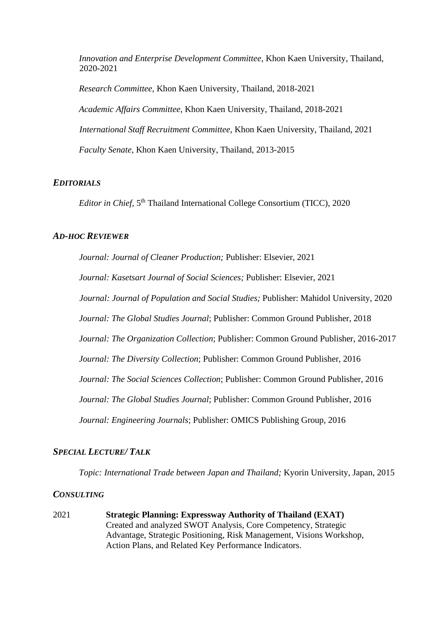*Innovation and Enterprise Development Committee*, Khon Kaen University, Thailand, 2020-2021

*Research Committee*, Khon Kaen University, Thailand, 2018-2021 *Academic Affairs Committee*, Khon Kaen University, Thailand, 2018-2021 *International Staff Recruitment Committee*, Khon Kaen University, Thailand, 2021 *Faculty Senate*, Khon Kaen University, Thailand, 2013-2015

#### *EDITORIALS*

Editor in Chief, 5<sup>th</sup> Thailand International College Consortium (TICC), 2020

#### *AD-HOC REVIEWER*

*Journal: Journal of Cleaner Production;* Publisher: Elsevier, 2021

*Journal: Kasetsart Journal of Social Sciences;* Publisher: Elsevier, 2021

*Journal: Journal of Population and Social Studies;* Publisher: Mahidol University, 2020

*Journal: The Global Studies Journal*; Publisher: Common Ground Publisher, 2018

*Journal: The Organization Collection*; Publisher: Common Ground Publisher, 2016-2017

*Journal: The Diversity Collection*; Publisher: Common Ground Publisher, 2016

*Journal: The Social Sciences Collection*; Publisher: Common Ground Publisher, 2016

*Journal: The Global Studies Journal*; Publisher: Common Ground Publisher, 2016

*Journal: Engineering Journals*; Publisher: OMICS Publishing Group, 2016

#### *SPECIAL LECTURE/ TALK*

*Topic: International Trade between Japan and Thailand;* Kyorin University, Japan, 2015

#### *CONSULTING*

2021 **Strategic Planning: Expressway Authority of Thailand (EXAT)** Created and analyzed SWOT Analysis, Core Competency, Strategic Advantage, Strategic Positioning, Risk Management, Visions Workshop, Action Plans, and Related Key Performance Indicators.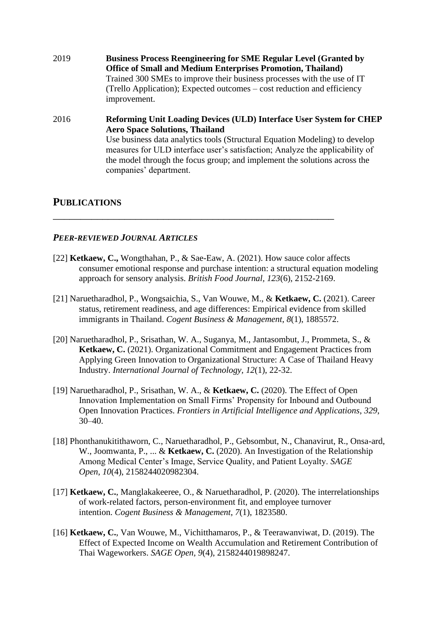2019 **Business Process Reengineering for SME Regular Level (Granted by Office of Small and Medium Enterprises Promotion, Thailand)** Trained 300 SMEs to improve their business processes with the use of IT (Trello Application); Expected outcomes – cost reduction and efficiency improvement. 2016 **Reforming Unit Loading Devices (ULD) Interface User System for CHEP** 

**Aero Space Solutions, Thailand** Use business data analytics tools (Structural Equation Modeling) to develop measures for ULD interface user's satisfaction; Analyze the applicability of the model through the focus group; and implement the solutions across the companies' department.

## **PUBLICATIONS**

#### *PEER-REVIEWED JOURNAL ARTICLES*

[22] **Ketkaew, C.,** Wongthahan, P., & Sae-Eaw, A. (2021). How sauce color affects consumer emotional response and purchase intention: a structural equation modeling approach for sensory analysis. *British Food Journal, 123*(6), 2152-2169.

\_\_\_\_\_\_\_\_\_\_\_\_\_\_\_\_\_\_\_\_\_\_\_\_\_\_\_\_\_\_\_\_\_\_\_\_\_\_\_\_\_\_\_\_\_\_\_\_\_\_\_

- [21] Naruetharadhol, P., Wongsaichia, S., Van Wouwe, M., & **Ketkaew, C.** (2021). Career status, retirement readiness, and age differences: Empirical evidence from skilled immigrants in Thailand. *Cogent Business & Management*, *8*(1), 1885572.
- [20] Naruetharadhol, P., Srisathan, W. A., Suganya, M., Jantasombut, J., Prommeta, S., & **Ketkaew, C.** (2021). Organizational Commitment and Engagement Practices from Applying Green Innovation to Organizational Structure: A Case of Thailand Heavy Industry. *International Journal of Technology, 12*(1), 22-32.
- [19] Naruetharadhol, P., Srisathan, W. A., & **Ketkaew, C.** (2020). The Effect of Open Innovation Implementation on Small Firms' Propensity for Inbound and Outbound Open Innovation Practices. *Frontiers in Artificial Intelligence and Applications*, *329*, 30–40.
- [18] Phonthanukitithaworn, C., Naruetharadhol, P., Gebsombut, N., Chanavirut, R., Onsa-ard, W., Joomwanta, P., ... & **Ketkaew, C.** (2020). An Investigation of the Relationship Among Medical Center's Image, Service Quality, and Patient Loyalty. *SAGE Open*, *10*(4), 2158244020982304.
- [17] **Ketkaew, C.**, Manglakakeeree, O., & Naruetharadhol, P. (2020). The interrelationships of work-related factors, person-environment fit, and employee turnover intention. *Cogent Business & Management*, *7*(1), 1823580.
- [16] **Ketkaew, C.**, Van Wouwe, M., Vichitthamaros, P., & Teerawanviwat, D. (2019). The Effect of Expected Income on Wealth Accumulation and Retirement Contribution of Thai Wageworkers. *SAGE Open, 9*(4), 2158244019898247.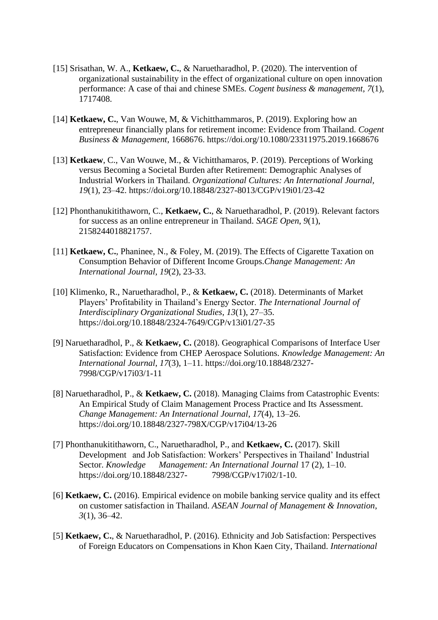- [15] Srisathan, W. A., **Ketkaew, C.**, & Naruetharadhol, P. (2020). The intervention of organizational sustainability in the effect of organizational culture on open innovation performance: A case of thai and chinese SMEs. *Cogent business & management*, *7*(1), 1717408.
- [14] **Ketkaew, C.**, Van Wouwe, M, & Vichitthammaros, P. (2019). Exploring how an entrepreneur financially plans for retirement income: Evidence from Thailand. *Cogent Business & Management,* 1668676. https://doi.org/10.1080/23311975.2019.1668676
- [13] **Ketkaew**, C., Van Wouwe, M., & Vichitthamaros, P. (2019). Perceptions of Working versus Becoming a Societal Burden after Retirement: Demographic Analyses of Industrial Workers in Thailand. *Organizational Cultures: An International Journal, 19*(1), 23–42. <https://doi.org/10.18848/2327-8013/CGP/v19i01/23-42>
- [12] Phonthanukitithaworn, C., **Ketkaew, C.**, & Naruetharadhol, P. (2019). Relevant factors for success as an online entrepreneur in Thailand. *SAGE Open*, *9*(1), 2158244018821757.
- [11] **Ketkaew, C.**, Phaninee, N., & Foley, M. (2019). The Effects of Cigarette Taxation on Consumption Behavior of Different Income Groups.*Change Management: An International Journal, 19*(2), 23-33.
- [10] Klimenko, R., Naruetharadhol, P., & **Ketkaew, C.** (2018). Determinants of Market Players' Profitability in Thailand's Energy Sector. *The International Journal of Interdisciplinary Organizational Studies*, *13*(1), 27–35. https://doi.org/10.18848/2324-7649/CGP/v13i01/27-35
- [9] Naruetharadhol, P., & **Ketkaew, C.** (2018). Geographical Comparisons of Interface User Satisfaction: Evidence from CHEP Aerospace Solutions. *Knowledge Management: An International Journal*, *17*(3), 1–11. https://doi.org/10.18848/2327- 7998/CGP/v17i03/1-11
- [8] Naruetharadhol, P., & **Ketkaew, C.** (2018). Managing Claims from Catastrophic Events: An Empirical Study of Claim Management Process Practice and Its Assessment. *Change Management: An International Journal*, *17*(4), 13–26. https://doi.org/10.18848/2327-798X/CGP/v17i04/13-26
- [7] Phonthanukitithaworn, C., Naruetharadhol, P., and **Ketkaew, C.** (2017). Skill Development and Job Satisfaction: Workers' Perspectives in Thailand' Industrial Sector. *Knowledge Management: An International Journal* 17 (2), 1–10. https://doi.org/10.18848/2327- 7998/CGP/v17i02/1-10.
- [6] **Ketkaew, C.** (2016). Empirical evidence on mobile banking service quality and its effect on customer satisfaction in Thailand. *ASEAN Journal of Management & Innovation*, *3*(1), 36–42.
- [5] **Ketkaew, C.**, & Naruetharadhol, P. (2016). Ethnicity and Job Satisfaction: Perspectives of Foreign Educators on Compensations in Khon Kaen City, Thailand. *International*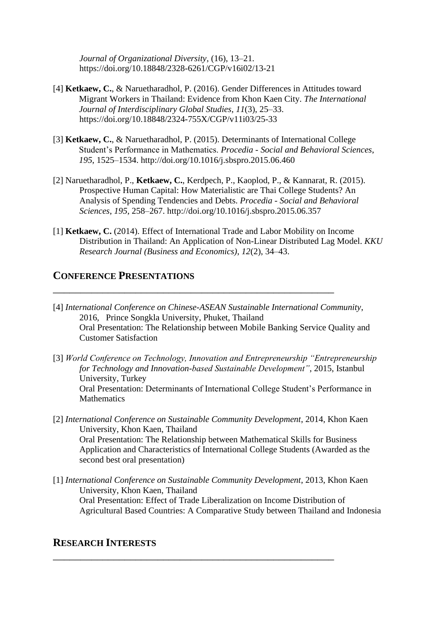*Journal of Organizational Diversity*, (16), 13–21. https://doi.org/10.18848/2328-6261/CGP/v16i02/13-21

- [4] **Ketkaew, C.**, & Naruetharadhol, P. (2016). Gender Differences in Attitudes toward Migrant Workers in Thailand: Evidence from Khon Kaen City. *The International Journal of Interdisciplinary Global Studies*, *11*(3), 25–33. https://doi.org/10.18848/2324-755X/CGP/v11i03/25-33
- [3] **Ketkaew, C.**, & Naruetharadhol, P. (2015). Determinants of International College Student's Performance in Mathematics. *Procedia - Social and Behavioral Sciences*, *195*, 1525–1534. http://doi.org/10.1016/j.sbspro.2015.06.460
- [2] Naruetharadhol, P., **Ketkaew, C.**, Kerdpech, P., Kaoplod, P., & Kannarat, R. (2015). Prospective Human Capital: How Materialistic are Thai College Students? An Analysis of Spending Tendencies and Debts. *Procedia - Social and Behavioral Sciences*, *195*, 258–267. http://doi.org/10.1016/j.sbspro.2015.06.357
- [1] **Ketkaew, C.** (2014). Effect of International Trade and Labor Mobility on Income Distribution in Thailand: An Application of Non-Linear Distributed Lag Model. *KKU Research Journal (Business and Economics)*, *12*(2), 34–43.

## **CONFERENCE PRESENTATIONS**

[4] *International Conference on Chinese-ASEAN Sustainable International Community*, 2016, Prince Songkla University, Phuket, Thailand Oral Presentation: The Relationship between Mobile Banking Service Quality and Customer Satisfaction

\_\_\_\_\_\_\_\_\_\_\_\_\_\_\_\_\_\_\_\_\_\_\_\_\_\_\_\_\_\_\_\_\_\_\_\_\_\_\_\_\_\_\_\_\_\_\_\_\_\_\_

[3] *World Conference on Technology, Innovation and Entrepreneurship "Entrepreneurship for Technology and Innovation-based Sustainable Development"*, 2015, Istanbul University, Turkey Oral Presentation: Determinants of International College Student's Performance in **Mathematics** 

- [2] *International Conference on Sustainable Community Development*, 2014, Khon Kaen University, Khon Kaen, Thailand Oral Presentation: The Relationship between Mathematical Skills for Business Application and Characteristics of International College Students (Awarded as the second best oral presentation)
- [1] *International Conference on Sustainable Community Development*, 2013, Khon Kaen University, Khon Kaen, Thailand Oral Presentation: Effect of Trade Liberalization on Income Distribution of Agricultural Based Countries: A Comparative Study between Thailand and Indonesia

\_\_\_\_\_\_\_\_\_\_\_\_\_\_\_\_\_\_\_\_\_\_\_\_\_\_\_\_\_\_\_\_\_\_\_\_\_\_\_\_\_\_\_\_\_\_\_\_\_\_\_

## **RESEARCH INTERESTS**